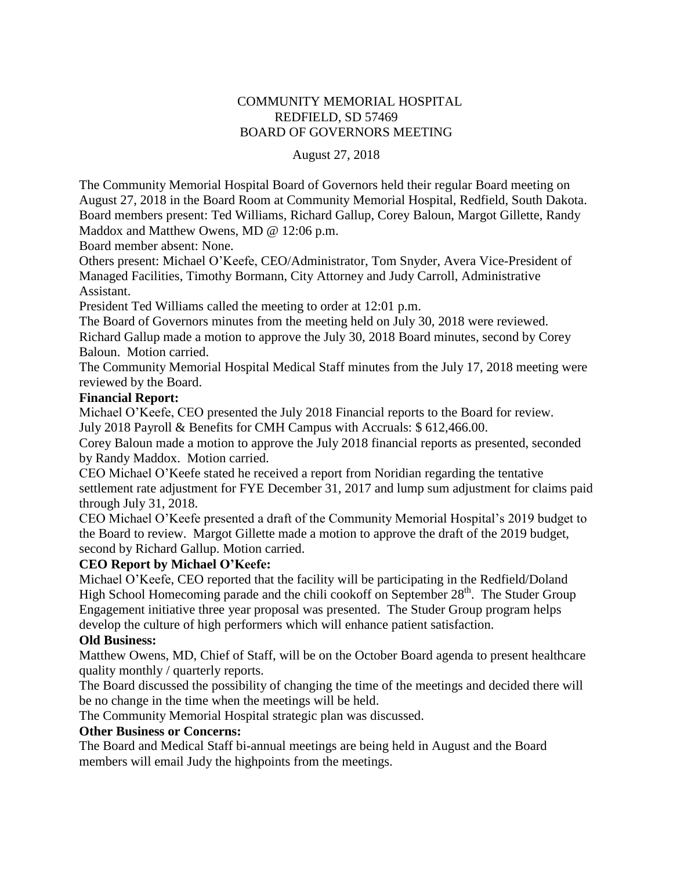# COMMUNITY MEMORIAL HOSPITAL REDFIELD, SD 57469 BOARD OF GOVERNORS MEETING

#### August 27, 2018

The Community Memorial Hospital Board of Governors held their regular Board meeting on August 27, 2018 in the Board Room at Community Memorial Hospital, Redfield, South Dakota. Board members present: Ted Williams, Richard Gallup, Corey Baloun, Margot Gillette, Randy Maddox and Matthew Owens, MD @ 12:06 p.m.

Board member absent: None.

Others present: Michael O'Keefe, CEO/Administrator, Tom Snyder, Avera Vice-President of Managed Facilities, Timothy Bormann, City Attorney and Judy Carroll, Administrative Assistant.

President Ted Williams called the meeting to order at 12:01 p.m.

The Board of Governors minutes from the meeting held on July 30, 2018 were reviewed. Richard Gallup made a motion to approve the July 30, 2018 Board minutes, second by Corey Baloun. Motion carried.

The Community Memorial Hospital Medical Staff minutes from the July 17, 2018 meeting were reviewed by the Board.

### **Financial Report:**

Michael O'Keefe, CEO presented the July 2018 Financial reports to the Board for review. July 2018 Payroll & Benefits for CMH Campus with Accruals: \$ 612,466.00.

Corey Baloun made a motion to approve the July 2018 financial reports as presented, seconded by Randy Maddox. Motion carried.

CEO Michael O'Keefe stated he received a report from Noridian regarding the tentative settlement rate adjustment for FYE December 31, 2017 and lump sum adjustment for claims paid through July 31, 2018.

CEO Michael O'Keefe presented a draft of the Community Memorial Hospital's 2019 budget to the Board to review. Margot Gillette made a motion to approve the draft of the 2019 budget, second by Richard Gallup. Motion carried.

# **CEO Report by Michael O'Keefe:**

Michael O'Keefe, CEO reported that the facility will be participating in the Redfield/Doland High School Homecoming parade and the chili cookoff on September 28<sup>th</sup>. The Studer Group Engagement initiative three year proposal was presented. The Studer Group program helps develop the culture of high performers which will enhance patient satisfaction.

# **Old Business:**

Matthew Owens, MD, Chief of Staff, will be on the October Board agenda to present healthcare quality monthly / quarterly reports.

The Board discussed the possibility of changing the time of the meetings and decided there will be no change in the time when the meetings will be held.

The Community Memorial Hospital strategic plan was discussed.

# **Other Business or Concerns:**

The Board and Medical Staff bi-annual meetings are being held in August and the Board members will email Judy the highpoints from the meetings.